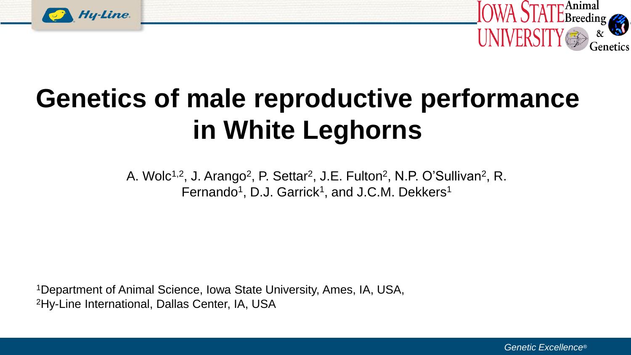



# **Genetics of male reproductive performance in White Leghorns**

A. Wolc<sup>1,2</sup>, J. Arango<sup>2</sup>, P. Settar<sup>2</sup>, J.E. Fulton<sup>2</sup>, N.P. O'Sullivan<sup>2</sup>, R. Fernando<sup>1</sup>, D.J. Garrick<sup>1</sup>, and J.C.M. Dekkers<sup>1</sup>

<sup>1</sup>Department of Animal Science, Iowa State University, Ames, IA, USA, 2Hy-Line International, Dallas Center, IA, USA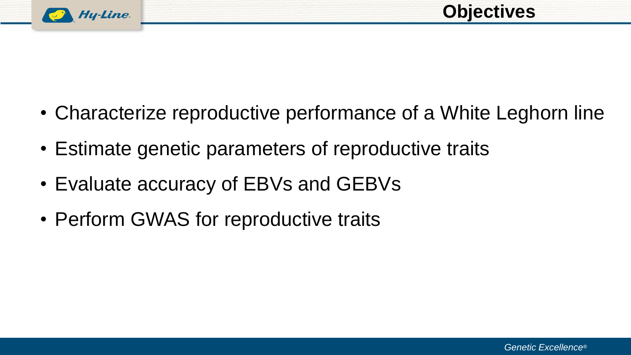

- Characterize reproductive performance of a White Leghorn line
- Estimate genetic parameters of reproductive traits
- Evaluate accuracy of EBVs and GEBVs
- Perform GWAS for reproductive traits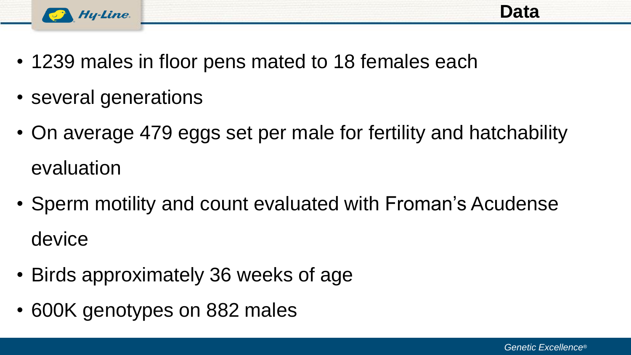

- 1239 males in floor pens mated to 18 females each
- several generations
- On average 479 eggs set per male for fertility and hatchability evaluation
- Sperm motility and count evaluated with Froman's Acudense device
- Birds approximately 36 weeks of age
- 600K genotypes on 882 males

**Data**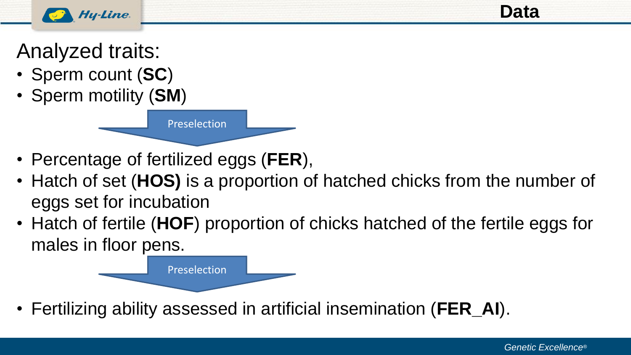

**Data**

Analyzed traits:

- Sperm count (**SC**)
- Sperm motility (**SM**)



Preselection

- Hatch of set (**HOS)** is a proportion of hatched chicks from the number of eggs set for incubation
- Hatch of fertile (**HOF**) proportion of chicks hatched of the fertile eggs for males in floor pens.



• Fertilizing ability assessed in artificial insemination (**FER\_AI**).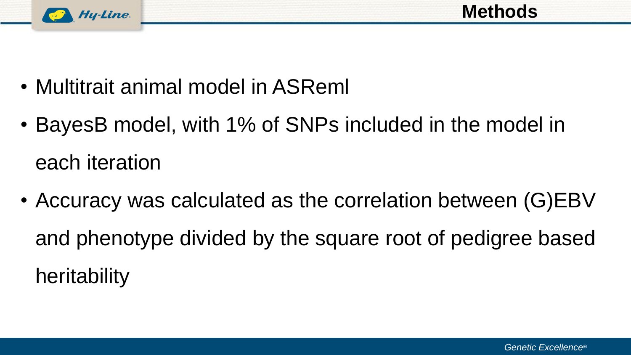

- Multitrait animal model in ASReml
- BayesB model, with 1% of SNPs included in the model in each iteration
- Accuracy was calculated as the correlation between (G)EBV and phenotype divided by the square root of pedigree based heritability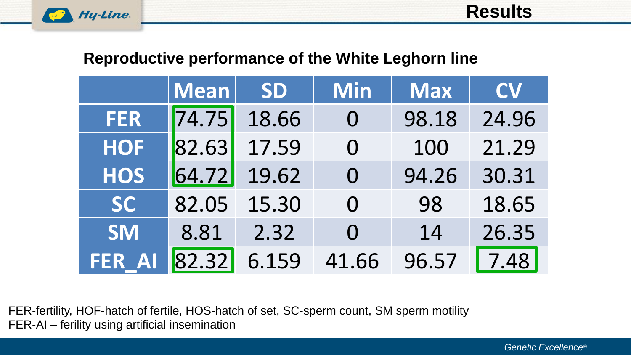

#### **Reproductive performance of the White Leghorn line**

|            | <b>Mean</b> | <b>SD</b> | <b>Min</b>        | <b>Max</b> | <b>CV</b> |
|------------|-------------|-----------|-------------------|------------|-----------|
| <b>FER</b> | 74.75       | 18.66     | $\bm{\mathsf{O}}$ | 98.18      | 24.96     |
| <b>HOF</b> | 82.63       | 17.59     | $\overline{0}$    | 100        | 21.29     |
| <b>HOS</b> | 64.72       | 19.62     | $\bm{\mathrm{O}}$ | 94.26      | 30.31     |
| <b>SC</b>  | 82.05       | 15.30     | $\overline{0}$    | 98         | 18.65     |
| <b>SM</b>  | 8.81        | 2.32      | $\Omega$          | 14         | 26.35     |
| FER A      | 82.32       | 6.159     | 41.66             | 96.57      | 7.48      |

FER-fertility, HOF-hatch of fertile, HOS-hatch of set, SC-sperm count, SM sperm motility FER-AI – ferility using artificial insemination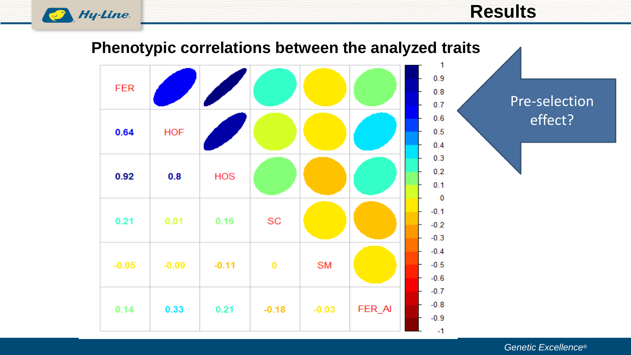

#### **Results**

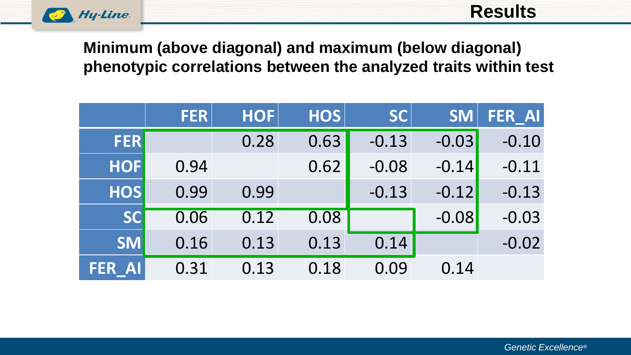

#### **Minimum (above diagonal) and maximum (below diagonal) phenotypic correlations between the analyzed traits within test**

|                         | <b>FER</b> | <b>HOF</b> | <b>HOS</b> | <b>SC</b> | <b>SM</b> | FER_AI  |
|-------------------------|------------|------------|------------|-----------|-----------|---------|
| <b>FER</b>              |            | 0.28       | 0.63       | $-0.13$   | $-0.03$   | $-0.10$ |
| <b>HOF</b>              | 0.94       |            | 0.62       | $-0.08$   | $-0.14$   | $-0.11$ |
| <b>HOS</b>              | 0.99       | 0.99       |            | $-0.13$   | $-0.12$   | $-0.13$ |
| <b>SC</b>               | 0.06       | 0.12       | 0.08       |           | $-0.08$   | $-0.03$ |
| <b>SM</b>               | 0.16       | 0.13       | 0.13       | 0.14      |           | $-0.02$ |
| <b>AI</b><br><b>FER</b> | 0.31       | 0.13       | 0.18       | 0.09      | 0.14      |         |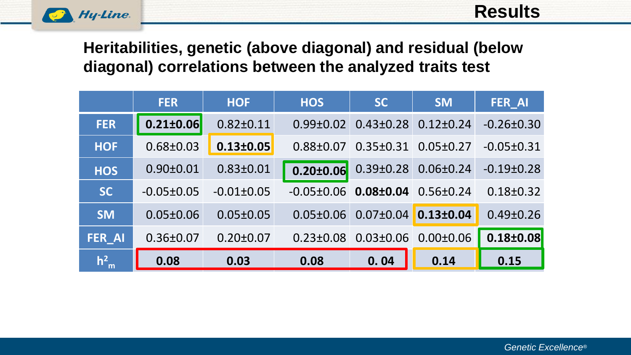

#### **Heritabilities, genetic (above diagonal) and residual (below diagonal) correlations between the analyzed traits test**

|               | <b>FER</b>       | <b>HOF</b>      | <b>HOS</b>       | <b>SC</b>       | <b>SM</b>       | <b>FER AI</b>    |
|---------------|------------------|-----------------|------------------|-----------------|-----------------|------------------|
| <b>FER</b>    | $0.21 \pm 0.06$  | $0.82 \pm 0.11$ | $0.99 \pm 0.02$  | $0.43 \pm 0.28$ | $0.12 \pm 0.24$ | $-0.26 \pm 0.30$ |
| <b>HOF</b>    | $0.68 \pm 0.03$  | $0.13 \pm 0.05$ | $0.88 + 0.07$    | $0.35 \pm 0.31$ | $0.05 \pm 0.27$ | $-0.05 \pm 0.31$ |
| <b>HOS</b>    | $0.90 \pm 0.01$  | $0.83 \pm 0.01$ | $0.20 \pm 0.06$  | $0.39 \pm 0.28$ | $0.06 \pm 0.24$ | $-0.19\pm0.28$   |
| <b>SC</b>     | $-0.05 \pm 0.05$ | $-0.01\pm0.05$  | $-0.05 \pm 0.06$ | $0.08 \pm 0.04$ | $0.56 \pm 0.24$ | $0.18 \pm 0.32$  |
| <b>SM</b>     | $0.05 \pm 0.06$  | $0.05 \pm 0.05$ | $0.05 \pm 0.06$  | $0.07 \pm 0.04$ | $0.13 \pm 0.04$ | $0.49 \pm 0.26$  |
| <b>FER_AI</b> | $0.36 \pm 0.07$  | $0.20 \pm 0.07$ | $0.23 \pm 0.08$  | $0.03 \pm 0.06$ | $0.00 \pm 0.06$ | $0.18 \pm 0.08$  |
| $h_{m}^{2}$   | 0.08             | 0.03            | 0.08             | 0.04            | 0.14            | 0.15             |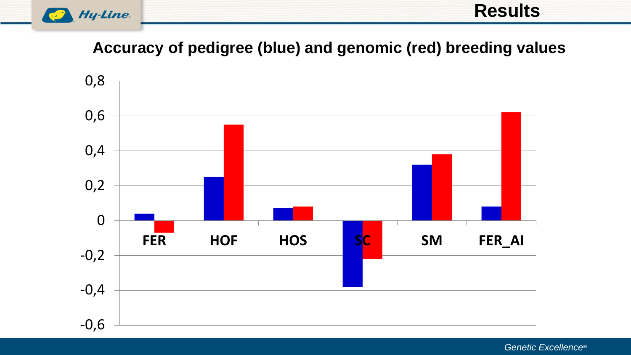

#### **Results**

#### **Accuracy of pedigree (blue) and genomic (red) breeding values**



*Genetic Excellence®*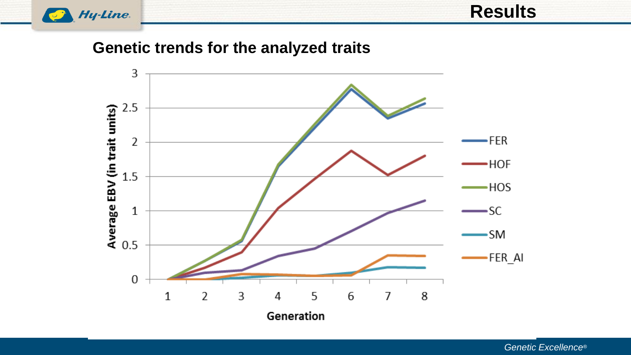

**Results**

**Genetic trends for the analyzed traits**

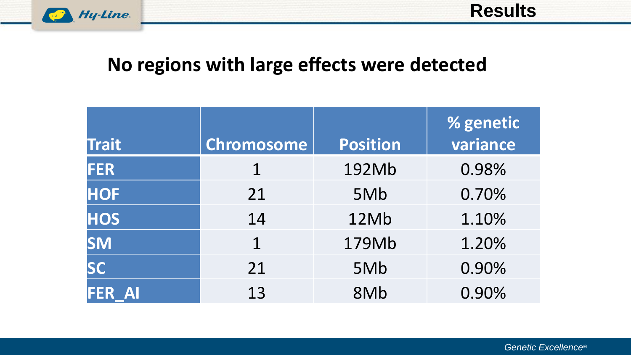

### **No regions with large effects were detected**

| <b>Trait</b>                 | <b>Chromosome</b> | <b>Position</b> | % genetic<br>variance |
|------------------------------|-------------------|-----------------|-----------------------|
| <b>FER</b>                   |                   | 192Mb           | 0.98%                 |
| <b>HOF</b>                   | 21                | 5Mb             | 0.70%                 |
| <b>HOS</b>                   | 14                | 12Mb            | 1.10%                 |
| <b>SM</b>                    | $\mathbf 1$       | 179Mb           | 1.20%                 |
| <b>SC</b>                    | 21                | 5Mb             | 0.90%                 |
| <b>FER</b><br>$\blacksquare$ | 13                | 8Mb             | 0.90%                 |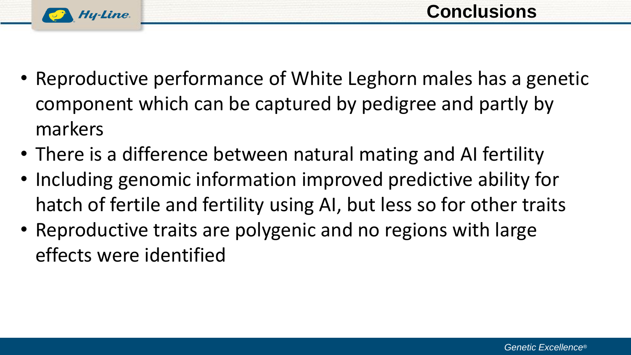

- Reproductive performance of White Leghorn males has a genetic component which can be captured by pedigree and partly by markers
- There is a difference between natural mating and AI fertility
- Including genomic information improved predictive ability for hatch of fertile and fertility using AI, but less so for other traits
- Reproductive traits are polygenic and no regions with large effects were identified